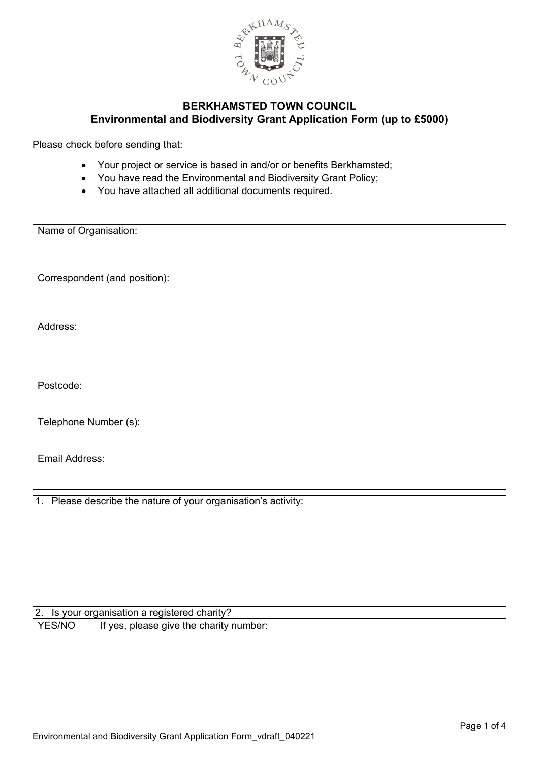

Please check before sending that:

- Your project or service is based in and/or or benefits Berkhamsted;
- You have read the Environmental and Biodiversity Grant Policy;
- You have attached all additional documents required.

| Name of Organisation:                                             |
|-------------------------------------------------------------------|
|                                                                   |
| Correspondent (and position):                                     |
|                                                                   |
| Address:                                                          |
|                                                                   |
|                                                                   |
| Postcode:                                                         |
| Telephone Number (s):                                             |
|                                                                   |
| Email Address:                                                    |
|                                                                   |
| Please describe the nature of your organisation's activity:<br>1. |
|                                                                   |
|                                                                   |

#### 2. Is your organisation a registered charity? YES/NO If yes, please give the charity number: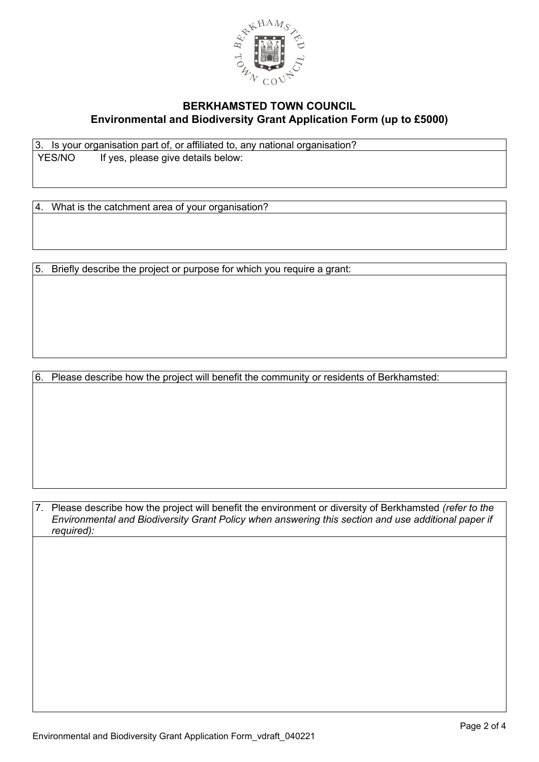

3. Is your organisation part of, or affiliated to, any national organisation? YES/NO If yes, please give details below:

4. What is the catchment area of your organisation?

5. Briefly describe the project or purpose for which you require a grant:

6. Please describe how the project will benefit the community or residents of Berkhamsted:

7. Please describe how the project will benefit the environment or diversity of Berkhamsted *(refer to the Environmental and Biodiversity Grant Policy when answering this section and use additional paper if required):*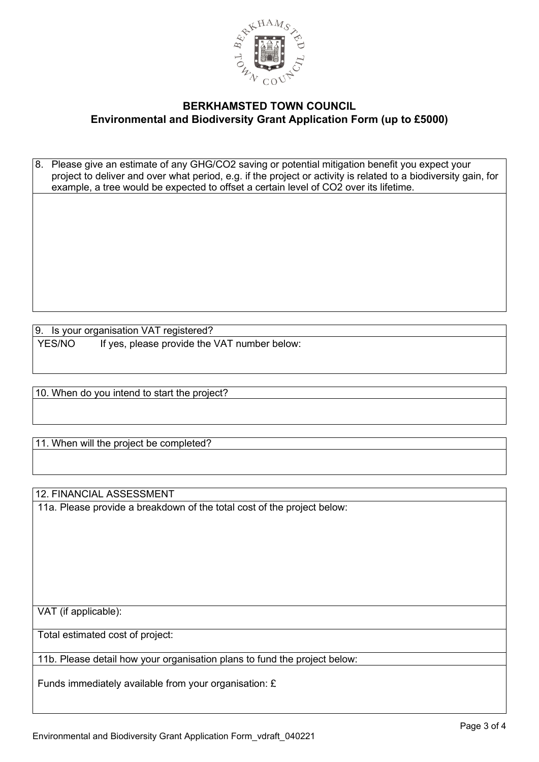

8. Please give an estimate of any GHG/CO2 saving or potential mitigation benefit you expect your project to deliver and over what period, e.g. if the project or activity is related to a biodiversity gain, for example, a tree would be expected to offset a certain level of CO2 over its lifetime.

9. Is your organisation VAT registered? YES/NO If yes, please provide the VAT number below:

10. When do you intend to start the project?

11. When will the project be completed?

12. FINANCIAL ASSESSMENT

11a. Please provide a breakdown of the total cost of the project below:

VAT (if applicable):

Total estimated cost of project:

11b. Please detail how your organisation plans to fund the project below:

Funds immediately available from your organisation: £